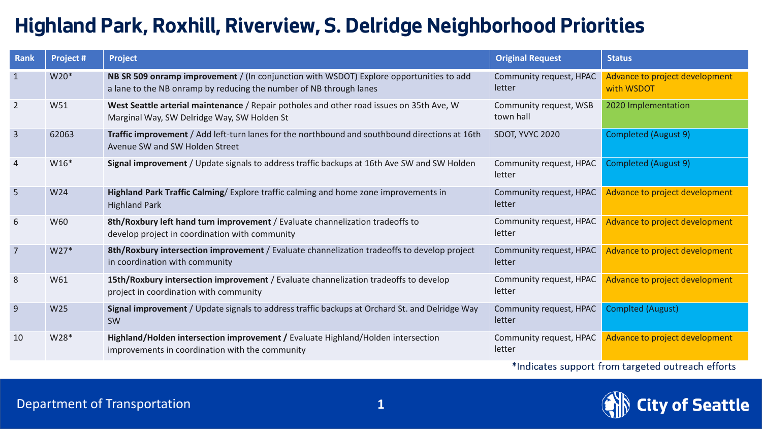## **Highland Park, Roxhill, Riverview, S. Delridge Neighborhood Priorities**

| Rank           | Project #        | <b>Project</b>                                                                                                                                                | <b>Original Request</b>             | <b>Status</b>                                |
|----------------|------------------|---------------------------------------------------------------------------------------------------------------------------------------------------------------|-------------------------------------|----------------------------------------------|
| $\mathbf{1}$   | W20 <sup>*</sup> | NB SR 509 onramp improvement / (In conjunction with WSDOT) Explore opportunities to add<br>a lane to the NB onramp by reducing the number of NB through lanes | Community request, HPAC<br>letter   | Advance to project development<br>with WSDOT |
| $\overline{2}$ | W51              | West Seattle arterial maintenance / Repair potholes and other road issues on 35th Ave, W<br>Marginal Way, SW Delridge Way, SW Holden St                       | Community request, WSB<br>town hall | 2020 Implementation                          |
| $\overline{3}$ | 62063            | Traffic improvement / Add left-turn lanes for the northbound and southbound directions at 16th<br>Avenue SW and SW Holden Street                              | SDOT, YVYC 2020                     | Completed (August 9)                         |
| $\overline{4}$ | $W16*$           | Signal improvement / Update signals to address traffic backups at 16th Ave SW and SW Holden                                                                   | Community request, HPAC<br>letter   | <b>Completed (August 9)</b>                  |
| 5              | W24              | Highland Park Traffic Calming/Explore traffic calming and home zone improvements in<br><b>Highland Park</b>                                                   | Community request, HPAC<br>letter   | Advance to project development               |
| 6              | W60              | 8th/Roxbury left hand turn improvement / Evaluate channelization tradeoffs to<br>develop project in coordination with community                               | Community request, HPAC<br>letter   | Advance to project development               |
| $\overline{7}$ | $W27*$           | 8th/Roxbury intersection improvement / Evaluate channelization tradeoffs to develop project<br>in coordination with community                                 | Community request, HPAC<br>letter   | Advance to project development               |
| 8              | W61              | 15th/Roxbury intersection improvement / Evaluate channelization tradeoffs to develop<br>project in coordination with community                                | Community request, HPAC<br>letter   | Advance to project development               |
| $\overline{9}$ | W25              | Signal improvement / Update signals to address traffic backups at Orchard St. and Delridge Way<br><b>SW</b>                                                   | Community request, HPAC<br>letter   | <b>Complted (August)</b>                     |
| 10             | W28*             | Highland/Holden intersection improvement / Evaluate Highland/Holden intersection<br>improvements in coordination with the community                           | Community request, HPAC<br>letter   | Advance to project development               |

\*Indicates support from targeted outreach efforts